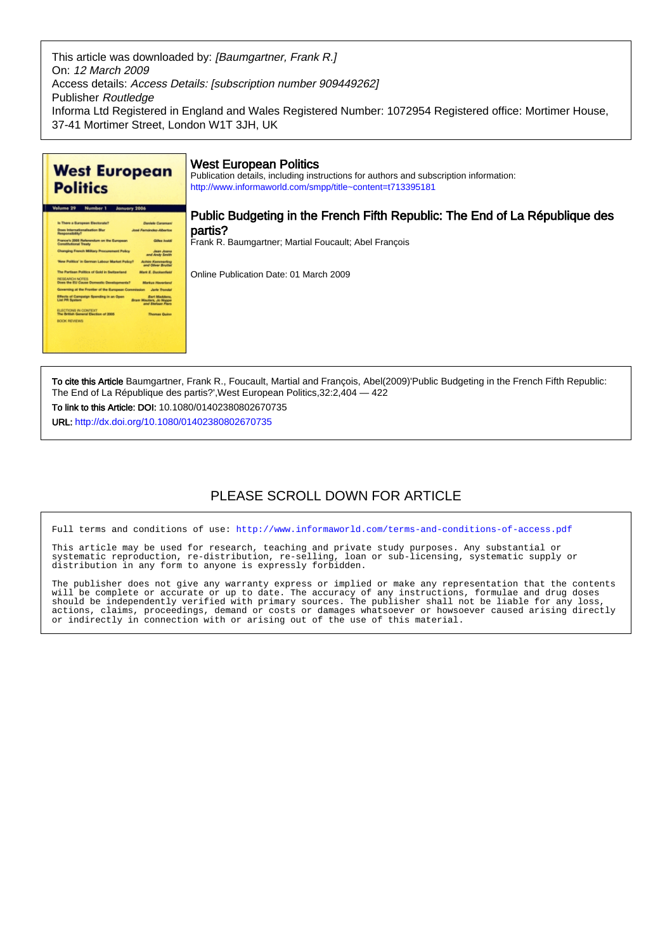This article was downloaded by: [Baumgartner, Frank R.] On: 12 March 2009 Access details: Access Details: [subscription number 909449262] Publisher Routledge Informa Ltd Registered in England and Wales Registered Number: 1072954 Registered office: Mortimer House, 37-41 Mortimer Street, London W1T 3JH, UK



To cite this Article Baumgartner, Frank R., Foucault, Martial and François, Abel(2009)'Public Budgeting in the French Fifth Republic: The End of La République des partis?',West European Politics,32:2,404 — 422

To link to this Article: DOI: 10.1080/01402380802670735

URL: <http://dx.doi.org/10.1080/01402380802670735>

# PLEASE SCROLL DOWN FOR ARTICLE

Full terms and conditions of use:<http://www.informaworld.com/terms-and-conditions-of-access.pdf>

This article may be used for research, teaching and private study purposes. Any substantial or systematic reproduction, re-distribution, re-selling, loan or sub-licensing, systematic supply or distribution in any form to anyone is expressly forbidden.

The publisher does not give any warranty express or implied or make any representation that the contents will be complete or accurate or up to date. The accuracy of any instructions, formulae and drug doses should be independently verified with primary sources. The publisher shall not be liable for any loss, actions, claims, proceedings, demand or costs or damages whatsoever or howsoever caused arising directly or indirectly in connection with or arising out of the use of this material.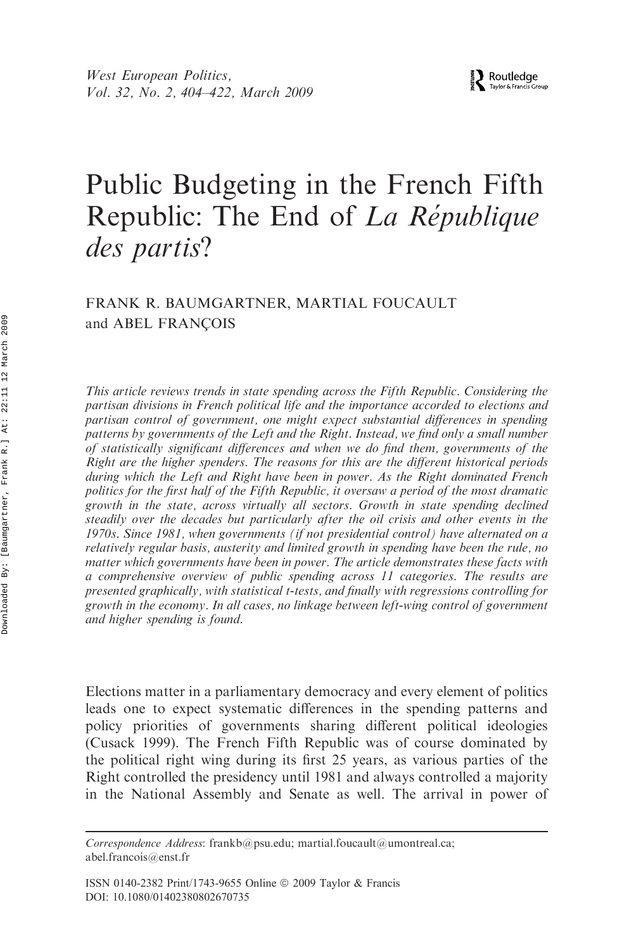# Public Budgeting in the French Fifth Republic: The End of La République des partis?

# FRANK R. BAUMGARTNER, MARTIAL FOUCAULT and ABEL FRANÇOIS

This article reviews trends in state spending across the Fifth Republic. Considering the partisan divisions in French political life and the importance accorded to elections and partisan control of government, one might expect substantial differences in spending patterns by governments of the Left and the Right. Instead, we find only a small number of statistically significant differences and when we do find them, governments of the Right are the higher spenders. The reasons for this are the different historical periods during which the Left and Right have been in power. As the Right dominated French politics for the first half of the Fifth Republic, it oversaw a period of the most dramatic growth in the state, across virtually all sectors. Growth in state spending declined steadily over the decades but particularly after the oil crisis and other events in the 1970s. Since 1981, when governments (if not presidential control) have alternated on a relatively regular basis, austerity and limited growth in spending have been the rule, no matter which governments have been in power. The article demonstrates these facts with a comprehensive overview of public spending across 11 categories. The results are presented graphically, with statistical t-tests, and finally with regressions controlling for growth in the economy. In all cases, no linkage between left-wing control of government and higher spending is found.

Elections matter in a parliamentary democracy and every element of politics leads one to expect systematic differences in the spending patterns and policy priorities of governments sharing different political ideologies (Cusack 1999). The French Fifth Republic was of course dominated by the political right wing during its first 25 years, as various parties of the Right controlled the presidency until 1981 and always controlled a majority in the National Assembly and Senate as well. The arrival in power of

Correspondence Address: frankb@psu.edu; martial.foucault@umontreal.ca; abel.francois@enst.fr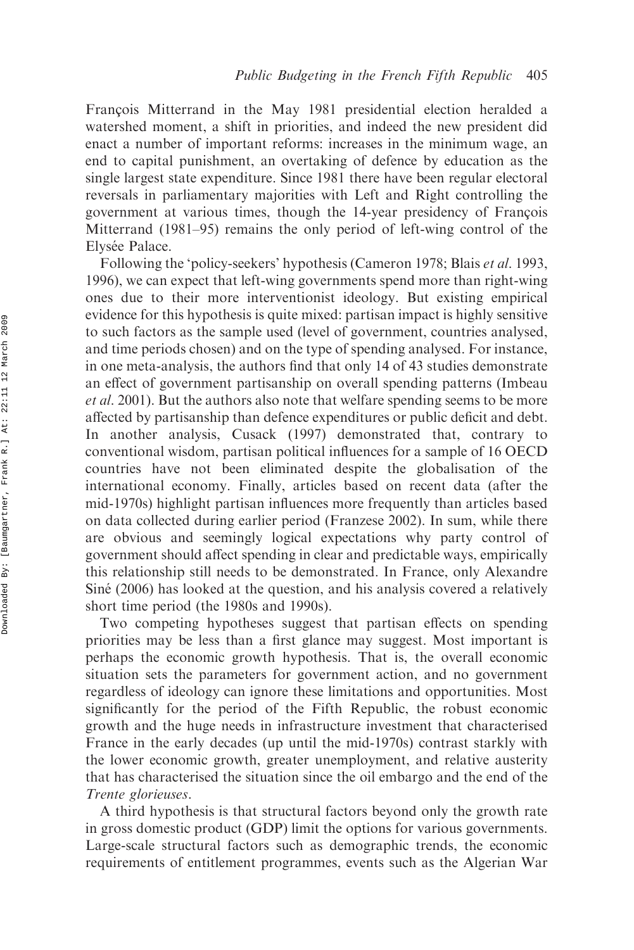Francois Mitterrand in the May 1981 presidential election heralded a watershed moment, a shift in priorities, and indeed the new president did enact a number of important reforms: increases in the minimum wage, an end to capital punishment, an overtaking of defence by education as the single largest state expenditure. Since 1981 there have been regular electoral reversals in parliamentary majorities with Left and Right controlling the government at various times, though the 14-year presidency of François Mitterrand (1981–95) remains the only period of left-wing control of the Elysée Palace.

Following the 'policy-seekers' hypothesis (Cameron 1978; Blais et al. 1993, 1996), we can expect that left-wing governments spend more than right-wing ones due to their more interventionist ideology. But existing empirical evidence for this hypothesis is quite mixed: partisan impact is highly sensitive to such factors as the sample used (level of government, countries analysed, and time periods chosen) and on the type of spending analysed. For instance, in one meta-analysis, the authors find that only 14 of 43 studies demonstrate an effect of government partisanship on overall spending patterns (Imbeau et al. 2001). But the authors also note that welfare spending seems to be more affected by partisanship than defence expenditures or public deficit and debt. In another analysis, Cusack (1997) demonstrated that, contrary to conventional wisdom, partisan political influences for a sample of 16 OECD countries have not been eliminated despite the globalisation of the international economy. Finally, articles based on recent data (after the mid-1970s) highlight partisan influences more frequently than articles based on data collected during earlier period (Franzese 2002). In sum, while there are obvious and seemingly logical expectations why party control of government should affect spending in clear and predictable ways, empirically this relationship still needs to be demonstrated. In France, only Alexandre Siné (2006) has looked at the question, and his analysis covered a relatively short time period (the 1980s and 1990s).

Two competing hypotheses suggest that partisan effects on spending priorities may be less than a first glance may suggest. Most important is perhaps the economic growth hypothesis. That is, the overall economic situation sets the parameters for government action, and no government regardless of ideology can ignore these limitations and opportunities. Most significantly for the period of the Fifth Republic, the robust economic growth and the huge needs in infrastructure investment that characterised France in the early decades (up until the mid-1970s) contrast starkly with the lower economic growth, greater unemployment, and relative austerity that has characterised the situation since the oil embargo and the end of the Trente glorieuses.

A third hypothesis is that structural factors beyond only the growth rate in gross domestic product (GDP) limit the options for various governments. Large-scale structural factors such as demographic trends, the economic requirements of entitlement programmes, events such as the Algerian War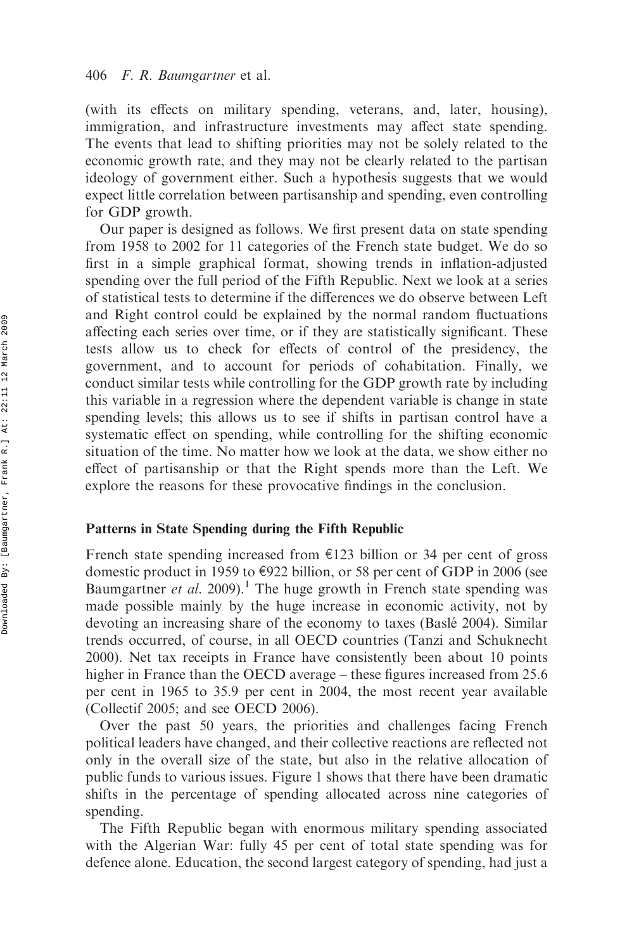(with its effects on military spending, veterans, and, later, housing), immigration, and infrastructure investments may affect state spending. The events that lead to shifting priorities may not be solely related to the economic growth rate, and they may not be clearly related to the partisan ideology of government either. Such a hypothesis suggests that we would expect little correlation between partisanship and spending, even controlling for GDP growth.

Our paper is designed as follows. We first present data on state spending from 1958 to 2002 for 11 categories of the French state budget. We do so first in a simple graphical format, showing trends in inflation-adjusted spending over the full period of the Fifth Republic. Next we look at a series of statistical tests to determine if the differences we do observe between Left and Right control could be explained by the normal random fluctuations affecting each series over time, or if they are statistically significant. These tests allow us to check for effects of control of the presidency, the government, and to account for periods of cohabitation. Finally, we conduct similar tests while controlling for the GDP growth rate by including this variable in a regression where the dependent variable is change in state spending levels; this allows us to see if shifts in partisan control have a systematic effect on spending, while controlling for the shifting economic situation of the time. No matter how we look at the data, we show either no effect of partisanship or that the Right spends more than the Left. We explore the reasons for these provocative findings in the conclusion.

#### Patterns in State Spending during the Fifth Republic

French state spending increased from  $E123$  billion or 34 per cent of gross domestic product in 1959 to  $\epsilon$ 922 billion, or 58 per cent of GDP in 2006 (see Baumgartner et al. 2009).<sup>1</sup> The huge growth in French state spending was made possible mainly by the huge increase in economic activity, not by devoting an increasing share of the economy to taxes (Baslé 2004). Similar trends occurred, of course, in all OECD countries (Tanzi and Schuknecht 2000). Net tax receipts in France have consistently been about 10 points higher in France than the OECD average – these figures increased from 25.6 per cent in 1965 to 35.9 per cent in 2004, the most recent year available (Collectif 2005; and see OECD 2006).

Over the past 50 years, the priorities and challenges facing French political leaders have changed, and their collective reactions are reflected not only in the overall size of the state, but also in the relative allocation of public funds to various issues. Figure 1 shows that there have been dramatic shifts in the percentage of spending allocated across nine categories of spending.

The Fifth Republic began with enormous military spending associated with the Algerian War: fully 45 per cent of total state spending was for defence alone. Education, the second largest category of spending, had just a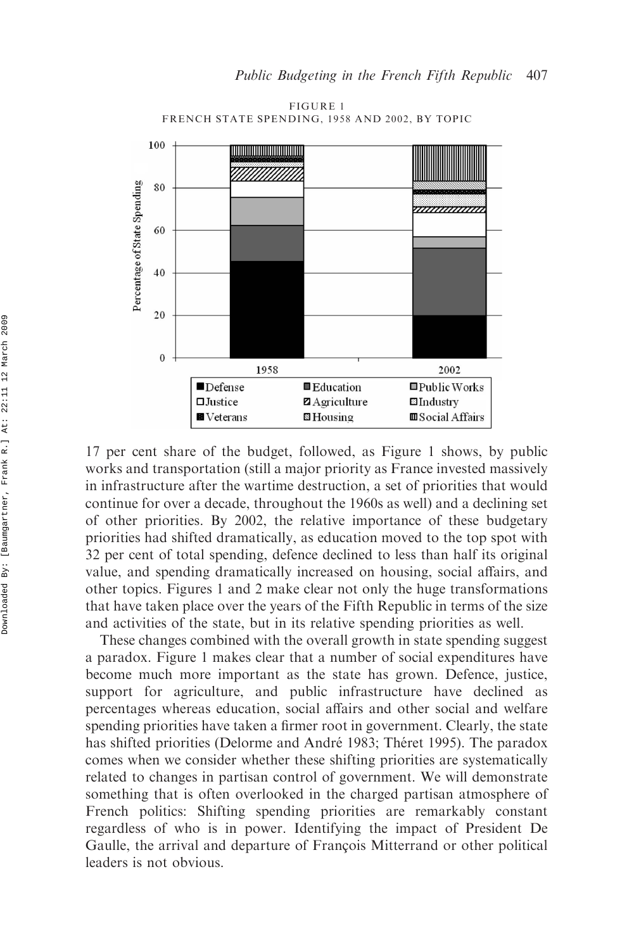

FIGURE 1 FRENCH STATE SPENDING, 1958 AND 2002, BY TOPIC

17 per cent share of the budget, followed, as Figure 1 shows, by public works and transportation (still a major priority as France invested massively in infrastructure after the wartime destruction, a set of priorities that would continue for over a decade, throughout the 1960s as well) and a declining set of other priorities. By 2002, the relative importance of these budgetary priorities had shifted dramatically, as education moved to the top spot with 32 per cent of total spending, defence declined to less than half its original value, and spending dramatically increased on housing, social affairs, and other topics. Figures 1 and 2 make clear not only the huge transformations that have taken place over the years of the Fifth Republic in terms of the size and activities of the state, but in its relative spending priorities as well.

These changes combined with the overall growth in state spending suggest a paradox. Figure 1 makes clear that a number of social expenditures have become much more important as the state has grown. Defence, justice, support for agriculture, and public infrastructure have declined as percentages whereas education, social affairs and other social and welfare spending priorities have taken a firmer root in government. Clearly, the state has shifted priorities (Delorme and André 1983; Théret 1995). The paradox comes when we consider whether these shifting priorities are systematically related to changes in partisan control of government. We will demonstrate something that is often overlooked in the charged partisan atmosphere of French politics: Shifting spending priorities are remarkably constant regardless of who is in power. Identifying the impact of President De Gaulle, the arrival and departure of François Mitterrand or other political leaders is not obvious.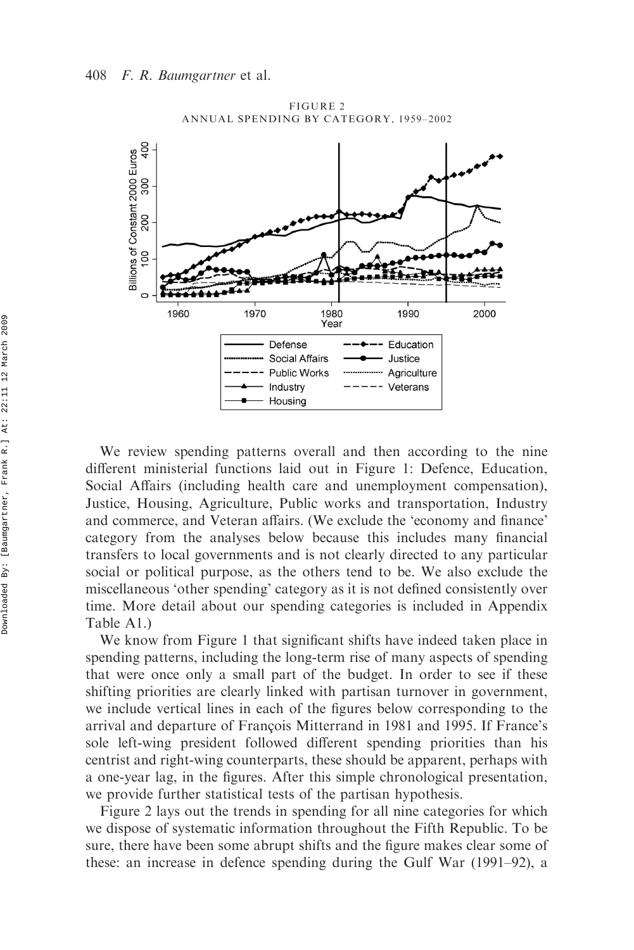

FIGURE 2 ANNUAL SPENDING BY CATEGORY, 1959–2002

We review spending patterns overall and then according to the nine different ministerial functions laid out in Figure 1: Defence, Education, Social Affairs (including health care and unemployment compensation), Justice, Housing, Agriculture, Public works and transportation, Industry and commerce, and Veteran affairs. (We exclude the 'economy and finance' category from the analyses below because this includes many financial transfers to local governments and is not clearly directed to any particular social or political purpose, as the others tend to be. We also exclude the miscellaneous 'other spending' category as it is not defined consistently over time. More detail about our spending categories is included in Appendix Table A1.)

We know from Figure 1 that significant shifts have indeed taken place in spending patterns, including the long-term rise of many aspects of spending that were once only a small part of the budget. In order to see if these shifting priorities are clearly linked with partisan turnover in government, we include vertical lines in each of the figures below corresponding to the arrival and departure of François Mitterrand in 1981 and 1995. If France's sole left-wing president followed different spending priorities than his centrist and right-wing counterparts, these should be apparent, perhaps with a one-year lag, in the figures. After this simple chronological presentation, we provide further statistical tests of the partisan hypothesis.

Figure 2 lays out the trends in spending for all nine categories for which we dispose of systematic information throughout the Fifth Republic. To be sure, there have been some abrupt shifts and the figure makes clear some of these: an increase in defence spending during the Gulf War (1991–92), a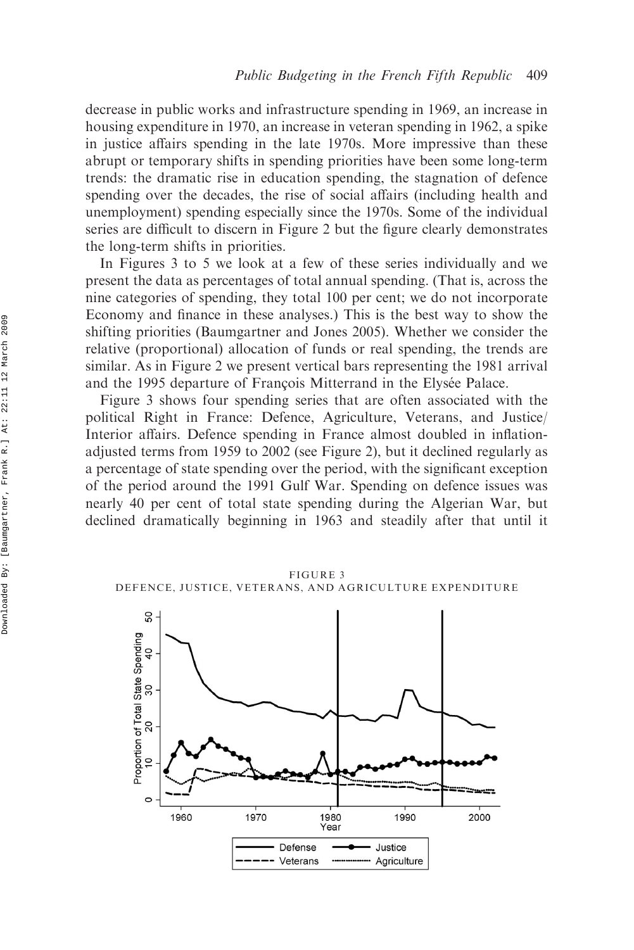decrease in public works and infrastructure spending in 1969, an increase in housing expenditure in 1970, an increase in veteran spending in 1962, a spike in justice affairs spending in the late 1970s. More impressive than these abrupt or temporary shifts in spending priorities have been some long-term trends: the dramatic rise in education spending, the stagnation of defence spending over the decades, the rise of social affairs (including health and unemployment) spending especially since the 1970s. Some of the individual series are difficult to discern in Figure 2 but the figure clearly demonstrates the long-term shifts in priorities.

In Figures 3 to 5 we look at a few of these series individually and we present the data as percentages of total annual spending. (That is, across the nine categories of spending, they total 100 per cent; we do not incorporate Economy and finance in these analyses.) This is the best way to show the shifting priorities (Baumgartner and Jones 2005). Whether we consider the relative (proportional) allocation of funds or real spending, the trends are similar. As in Figure 2 we present vertical bars representing the 1981 arrival and the 1995 departure of François Mitterrand in the Elysée Palace.

Figure 3 shows four spending series that are often associated with the political Right in France: Defence, Agriculture, Veterans, and Justice/ Interior affairs. Defence spending in France almost doubled in inflationadjusted terms from 1959 to 2002 (see Figure 2), but it declined regularly as a percentage of state spending over the period, with the significant exception of the period around the 1991 Gulf War. Spending on defence issues was nearly 40 per cent of total state spending during the Algerian War, but declined dramatically beginning in 1963 and steadily after that until it

FIGURE 3 DEFENCE, JUSTICE, VETERANS, AND AGRICULTURE EXPENDITURE

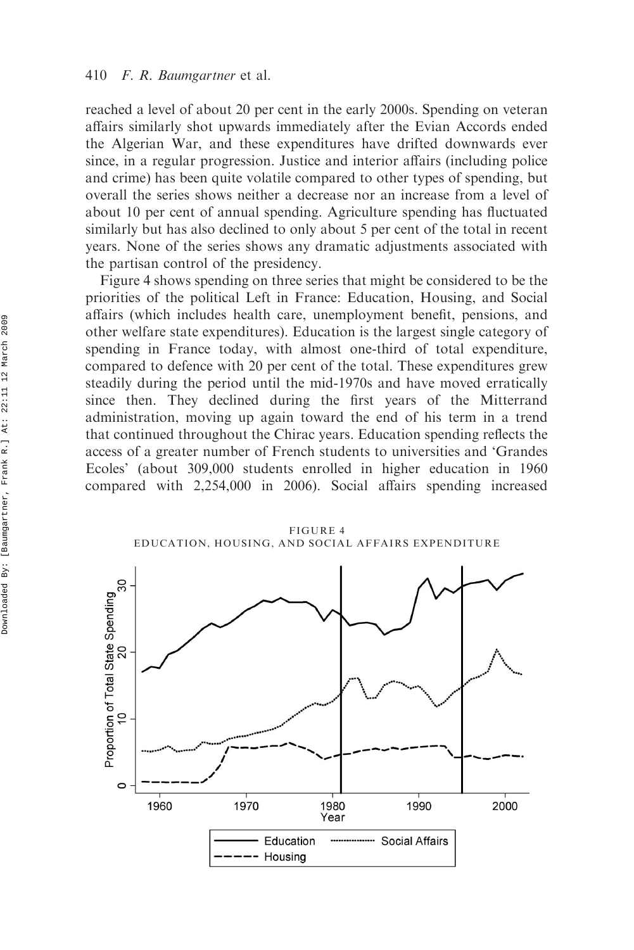reached a level of about 20 per cent in the early 2000s. Spending on veteran affairs similarly shot upwards immediately after the Evian Accords ended the Algerian War, and these expenditures have drifted downwards ever since, in a regular progression. Justice and interior affairs (including police and crime) has been quite volatile compared to other types of spending, but overall the series shows neither a decrease nor an increase from a level of about 10 per cent of annual spending. Agriculture spending has fluctuated similarly but has also declined to only about 5 per cent of the total in recent years. None of the series shows any dramatic adjustments associated with the partisan control of the presidency.

Figure 4 shows spending on three series that might be considered to be the priorities of the political Left in France: Education, Housing, and Social affairs (which includes health care, unemployment benefit, pensions, and other welfare state expenditures). Education is the largest single category of spending in France today, with almost one-third of total expenditure, compared to defence with 20 per cent of the total. These expenditures grew steadily during the period until the mid-1970s and have moved erratically since then. They declined during the first years of the Mitterrand administration, moving up again toward the end of his term in a trend that continued throughout the Chirac years. Education spending reflects the access of a greater number of French students to universities and 'Grandes Ecoles' (about 309,000 students enrolled in higher education in 1960 compared with 2,254,000 in 2006). Social affairs spending increased

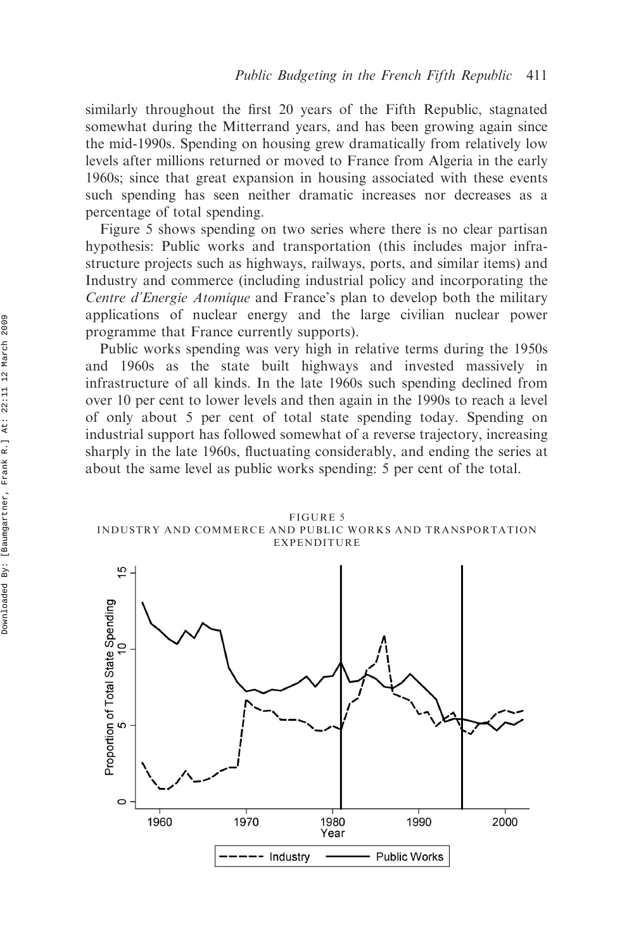similarly throughout the first 20 years of the Fifth Republic, stagnated somewhat during the Mitterrand years, and has been growing again since the mid-1990s. Spending on housing grew dramatically from relatively low levels after millions returned or moved to France from Algeria in the early 1960s; since that great expansion in housing associated with these events such spending has seen neither dramatic increases nor decreases as a percentage of total spending.

Figure 5 shows spending on two series where there is no clear partisan hypothesis: Public works and transportation (this includes major infrastructure projects such as highways, railways, ports, and similar items) and Industry and commerce (including industrial policy and incorporating the Centre d'Energie Atomique and France's plan to develop both the military applications of nuclear energy and the large civilian nuclear power programme that France currently supports).

Public works spending was very high in relative terms during the 1950s and 1960s as the state built highways and invested massively in infrastructure of all kinds. In the late 1960s such spending declined from over 10 per cent to lower levels and then again in the 1990s to reach a level of only about 5 per cent of total state spending today. Spending on industrial support has followed somewhat of a reverse trajectory, increasing sharply in the late 1960s, fluctuating considerably, and ending the series at about the same level as public works spending: 5 per cent of the total.



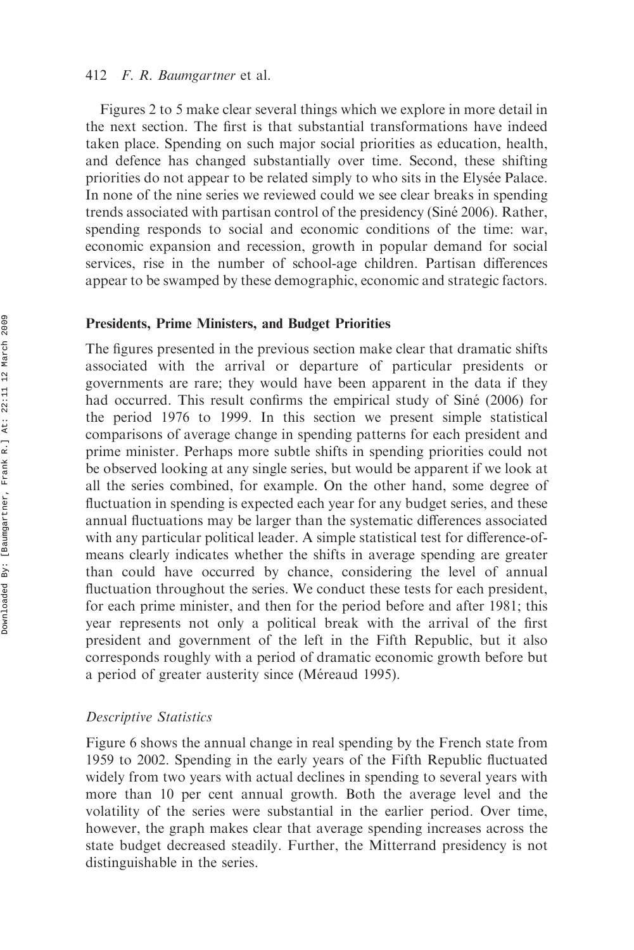Figures 2 to 5 make clear several things which we explore in more detail in the next section. The first is that substantial transformations have indeed taken place. Spending on such major social priorities as education, health, and defence has changed substantially over time. Second, these shifting priorities do not appear to be related simply to who sits in the Elysée Palace. In none of the nine series we reviewed could we see clear breaks in spending trends associated with partisan control of the presidency (Sine´ 2006). Rather, spending responds to social and economic conditions of the time: war, economic expansion and recession, growth in popular demand for social services, rise in the number of school-age children. Partisan differences appear to be swamped by these demographic, economic and strategic factors.

#### Presidents, Prime Ministers, and Budget Priorities

The figures presented in the previous section make clear that dramatic shifts associated with the arrival or departure of particular presidents or governments are rare; they would have been apparent in the data if they had occurred. This result confirms the empirical study of Siné (2006) for the period 1976 to 1999. In this section we present simple statistical comparisons of average change in spending patterns for each president and prime minister. Perhaps more subtle shifts in spending priorities could not be observed looking at any single series, but would be apparent if we look at all the series combined, for example. On the other hand, some degree of fluctuation in spending is expected each year for any budget series, and these annual fluctuations may be larger than the systematic differences associated with any particular political leader. A simple statistical test for difference-ofmeans clearly indicates whether the shifts in average spending are greater than could have occurred by chance, considering the level of annual fluctuation throughout the series. We conduct these tests for each president, for each prime minister, and then for the period before and after 1981; this year represents not only a political break with the arrival of the first president and government of the left in the Fifth Republic, but it also corresponds roughly with a period of dramatic economic growth before but a period of greater austerity since (Méreaud 1995).

# Descriptive Statistics

Figure 6 shows the annual change in real spending by the French state from 1959 to 2002. Spending in the early years of the Fifth Republic fluctuated widely from two years with actual declines in spending to several years with more than 10 per cent annual growth. Both the average level and the volatility of the series were substantial in the earlier period. Over time, however, the graph makes clear that average spending increases across the state budget decreased steadily. Further, the Mitterrand presidency is not distinguishable in the series.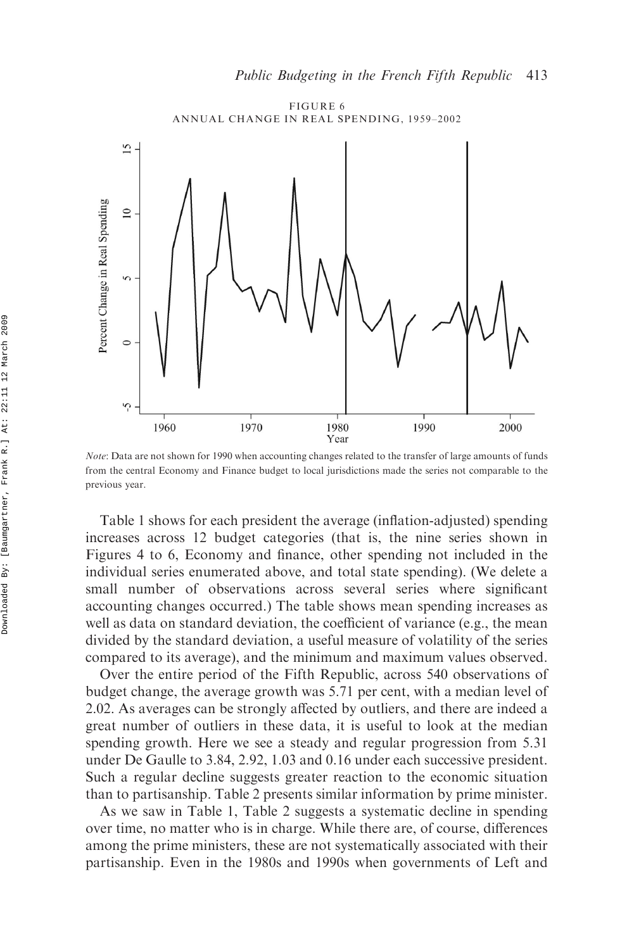

Note: Data are not shown for 1990 when accounting changes related to the transfer of large amounts of funds from the central Economy and Finance budget to local jurisdictions made the series not comparable to the previous year.

Table 1 shows for each president the average (inflation-adjusted) spending increases across 12 budget categories (that is, the nine series shown in Figures 4 to 6, Economy and finance, other spending not included in the individual series enumerated above, and total state spending). (We delete a small number of observations across several series where significant accounting changes occurred.) The table shows mean spending increases as well as data on standard deviation, the coefficient of variance (e.g., the mean divided by the standard deviation, a useful measure of volatility of the series compared to its average), and the minimum and maximum values observed.

Over the entire period of the Fifth Republic, across 540 observations of budget change, the average growth was 5.71 per cent, with a median level of 2.02. As averages can be strongly affected by outliers, and there are indeed a great number of outliers in these data, it is useful to look at the median spending growth. Here we see a steady and regular progression from 5.31 under De Gaulle to 3.84, 2.92, 1.03 and 0.16 under each successive president. Such a regular decline suggests greater reaction to the economic situation than to partisanship. Table 2 presents similar information by prime minister.

As we saw in Table 1, Table 2 suggests a systematic decline in spending over time, no matter who is in charge. While there are, of course, differences among the prime ministers, these are not systematically associated with their partisanship. Even in the 1980s and 1990s when governments of Left and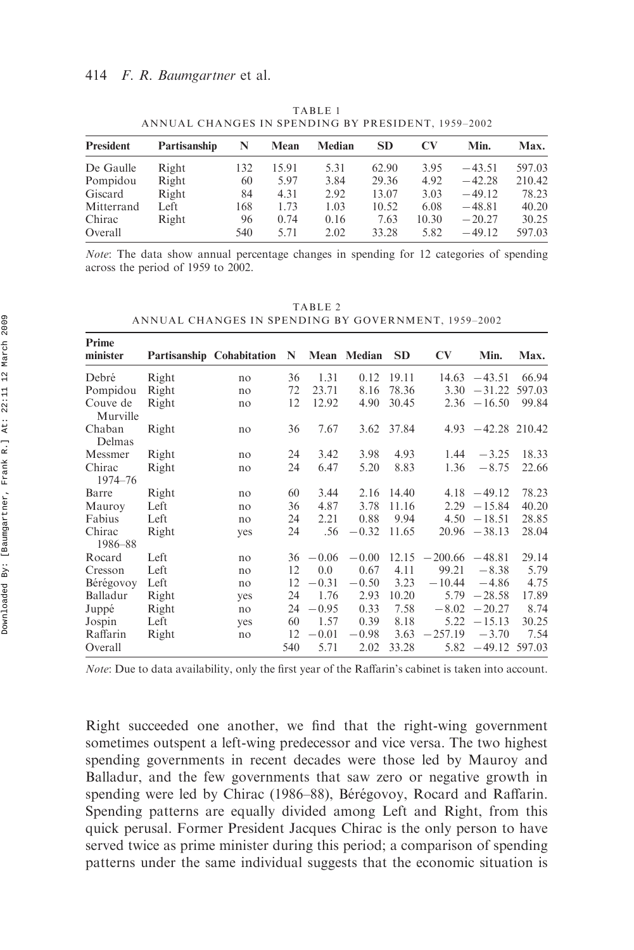| <b>President</b> | Partisanship | N   | Mean  | Median | <b>SD</b> | CV    | Min.     | Max.   |
|------------------|--------------|-----|-------|--------|-----------|-------|----------|--------|
| De Gaulle        | Right        | 132 | 15.91 | 5.31   | 62.90     | 3.95  | $-43.51$ | 597.03 |
| Pompidou         | Right        | 60  | 5.97  | 3.84   | 29.36     | 4.92  | $-42.28$ | 210.42 |
| Giscard          | Right        | 84  | 4.31  | 2.92   | 13.07     | 3.03  | $-49.12$ | 78.23  |
| Mitterrand       | Left         | 168 | 1.73  | 1.03   | 10.52     | 6.08  | $-48.81$ | 40.20  |
| Chirac           | Right        | 96  | 0.74  | 0.16   | 7.63      | 10.30 | $-20.27$ | 30.25  |
| Overall          |              | 540 | 5.71  | 2.02   | 33.28     | 5.82  | $-49.12$ | 597.03 |

TABLE 1 ANNUAL CHANGES IN SPENDING BY PRESIDENT, 1959–2002

Note: The data show annual percentage changes in spending for 12 categories of spending across the period of 1959 to 2002.

TABLE 2 ANNUAL CHANGES IN SPENDING BY GOVERNMENT, 1959–2002

| Prime<br>minister    |       | Partisanship Cohabitation | N   | Mean        | Median  | <b>SD</b>  | <b>CV</b>         | Min.                  | Max.   |
|----------------------|-------|---------------------------|-----|-------------|---------|------------|-------------------|-----------------------|--------|
| Debré                | Right | no                        | 36  | 1.31        | 0.12    | 19.11      |                   | $14.63 - 43.51$       | 66.94  |
| Pompidou             | Right | no                        | 72  | 23.71       | 8.16    | 78.36      | 3.30              | $-31.22$              | 597.03 |
| Couve de<br>Murville | Right | no                        | 12  | 12.92       | 4.90    | 30.45      |                   | $2.36 - 16.50$        | 99.84  |
| Chaban<br>Delmas     | Right | no                        | 36  | 7.67        |         | 3.62 37.84 |                   | $4.93 - 42.28$ 210.42 |        |
| Messmer              | Right | no                        | 24  | 3.42        | 3.98    | 4.93       | 1.44              | $-3.25$               | 18.33  |
| Chirac<br>1974-76    | Right | no                        | 24  | 6.47        | 5.20    | 8.83       | 1.36              | $-8.75$               | 22.66  |
| Barre                | Right | no                        | 60  | 3.44        | 2.16    | 14.40      |                   | $4.18 - 49.12$        | 78.23  |
| Mauroy               | Left  | no                        | 36  | 4.87        | 3.78    | 11.16      | 2.29              | $-15.84$              | 40.20  |
| Fabius               | Left  | no                        | 24  | 2.21        | 0.88    | 9.94       |                   | $4.50 - 18.51$        | 28.85  |
| Chirac<br>1986–88    | Right | yes                       | 24  | .56         | $-0.32$ | 11.65      |                   | $20.96 - 38.13$       | 28.04  |
| Rocard               | Left  | no                        |     | $36 - 0.06$ | $-0.00$ | 12.15      | $-200.66 - 48.81$ |                       | 29.14  |
| Cresson              | Left  | no                        | 12  | 0.0         | 0.67    | 4.11       | 99.21             | $-8.38$               | 5.79   |
| Bérégovoy            | Left  | no                        | 12  | $-0.31$     | $-0.50$ | 3.23       | $-10.44$          | $-4.86$               | 4.75   |
| Balladur             | Right | yes                       | 24  | 1.76        | 2.93    | 10.20      | 5.79              | $-28.58$              | 17.89  |
| Juppé                | Right | no                        | 24  | $-0.95$     | 0.33    | 7.58       | $-8.02$           | $-20.27$              | 8.74   |
| Jospin               | Left  | yes                       | 60  | 1.57        | 0.39    | 8.18       | 5.22              | $-15.13$              | 30.25  |
| Raffarin             | Right | no                        | 12  | $-0.01$     | $-0.98$ | 3.63       | $-257.19$         | $-3.70$               | 7.54   |
| Overall              |       |                           | 540 | 5.71        | 2.02    | 33.28      | 5.82              | $-49.12$              | 597.03 |

Note: Due to data availability, only the first year of the Raffarin's cabinet is taken into account.

Right succeeded one another, we find that the right-wing government sometimes outspent a left-wing predecessor and vice versa. The two highest spending governments in recent decades were those led by Mauroy and Balladur, and the few governments that saw zero or negative growth in spending were led by Chirac (1986–88), Bérégovoy, Rocard and Raffarin. Spending patterns are equally divided among Left and Right, from this quick perusal. Former President Jacques Chirac is the only person to have served twice as prime minister during this period; a comparison of spending patterns under the same individual suggests that the economic situation is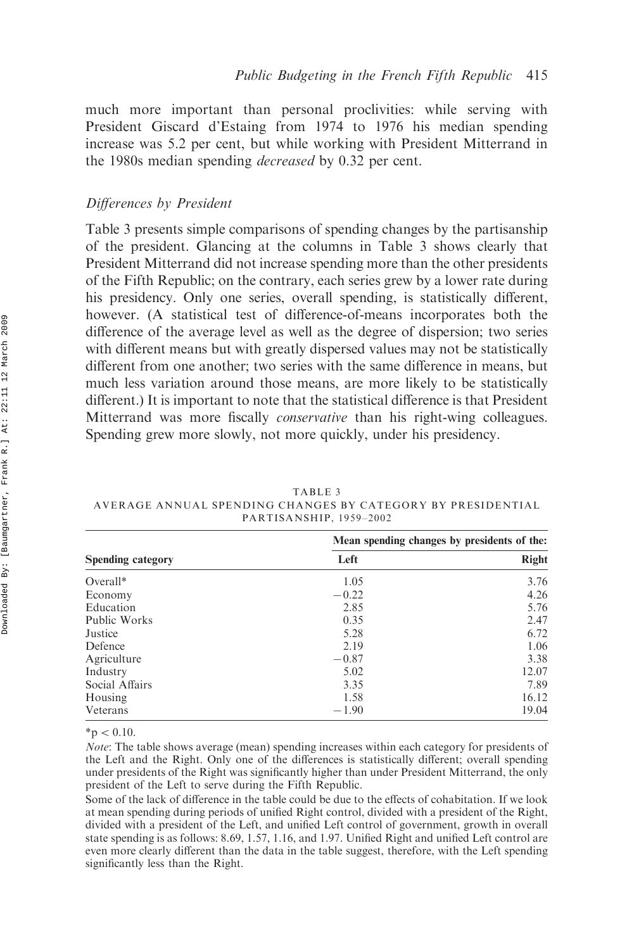much more important than personal proclivities: while serving with President Giscard d'Estaing from 1974 to 1976 his median spending increase was 5.2 per cent, but while working with President Mitterrand in the 1980s median spending decreased by 0.32 per cent.

### Differences by President

Table 3 presents simple comparisons of spending changes by the partisanship of the president. Glancing at the columns in Table 3 shows clearly that President Mitterrand did not increase spending more than the other presidents of the Fifth Republic; on the contrary, each series grew by a lower rate during his presidency. Only one series, overall spending, is statistically different, however. (A statistical test of difference-of-means incorporates both the difference of the average level as well as the degree of dispersion; two series with different means but with greatly dispersed values may not be statistically different from one another; two series with the same difference in means, but much less variation around those means, are more likely to be statistically different.) It is important to note that the statistical difference is that President Mitterrand was more fiscally conservative than his right-wing colleagues. Spending grew more slowly, not more quickly, under his presidency.

|                          | Mean spending changes by presidents of the: |              |  |  |  |
|--------------------------|---------------------------------------------|--------------|--|--|--|
| <b>Spending category</b> | Left                                        | <b>Right</b> |  |  |  |
| $Overall*$               | 1.05                                        | 3.76         |  |  |  |
| Economy                  | $-0.22$                                     | 4.26         |  |  |  |
| Education                | 2.85                                        | 5.76         |  |  |  |
| Public Works             | 0.35                                        | 2.47         |  |  |  |
| Justice                  | 5.28                                        | 6.72         |  |  |  |
| Defence                  | 2.19                                        | 1.06         |  |  |  |
| Agriculture              | $-0.87$                                     | 3.38         |  |  |  |
| Industry                 | 5.02                                        | 12.07        |  |  |  |
| Social Affairs           | 3.35                                        | 7.89         |  |  |  |
| Housing                  | 1.58                                        | 16.12        |  |  |  |
| Veterans                 | $-1.90$                                     | 19.04        |  |  |  |

TABLE 3 AVERAGE ANNUAL SPENDING CHANGES BY CATEGORY BY PRESIDENTIAL PARTISANSHIP, 1959–2002

 $*<sub>p</sub> < 0.10$ .

Note: The table shows average (mean) spending increases within each category for presidents of the Left and the Right. Only one of the differences is statistically different; overall spending under presidents of the Right was significantly higher than under President Mitterrand, the only president of the Left to serve during the Fifth Republic.

Some of the lack of difference in the table could be due to the effects of cohabitation. If we look at mean spending during periods of unified Right control, divided with a president of the Right, divided with a president of the Left, and unified Left control of government, growth in overall state spending is as follows: 8.69, 1.57, 1.16, and 1.97. Unified Right and unified Left control are even more clearly different than the data in the table suggest, therefore, with the Left spending significantly less than the Right.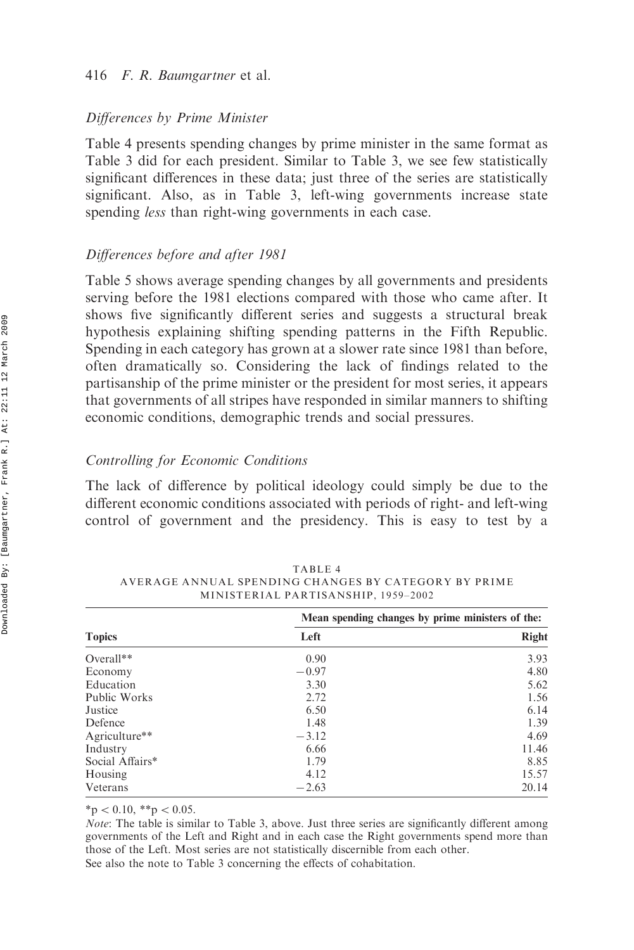#### Differences by Prime Minister

Table 4 presents spending changes by prime minister in the same format as Table 3 did for each president. Similar to Table 3, we see few statistically significant differences in these data; just three of the series are statistically significant. Also, as in Table 3, left-wing governments increase state spending *less* than right-wing governments in each case.

## Differences before and after 1981

Table 5 shows average spending changes by all governments and presidents serving before the 1981 elections compared with those who came after. It shows five significantly different series and suggests a structural break hypothesis explaining shifting spending patterns in the Fifth Republic. Spending in each category has grown at a slower rate since 1981 than before, often dramatically so. Considering the lack of findings related to the partisanship of the prime minister or the president for most series, it appears that governments of all stripes have responded in similar manners to shifting economic conditions, demographic trends and social pressures.

#### Controlling for Economic Conditions

The lack of difference by political ideology could simply be due to the different economic conditions associated with periods of right- and left-wing control of government and the presidency. This is easy to test by a

|                 | Mean spending changes by prime ministers of the: |              |  |  |  |
|-----------------|--------------------------------------------------|--------------|--|--|--|
| <b>Topics</b>   | Left                                             | <b>Right</b> |  |  |  |
| Overall $**$    | 0.90                                             | 3.93         |  |  |  |
| Economy         | $-0.97$                                          | 4.80         |  |  |  |
| Education       | 3.30                                             | 5.62         |  |  |  |
| Public Works    | 2.72                                             | 1.56         |  |  |  |
| Justice         | 6.50                                             | 6.14         |  |  |  |
| Defence         | 1.48                                             | 1.39         |  |  |  |
| Agriculture**   | $-3.12$                                          | 4.69         |  |  |  |
| Industry        | 6.66                                             | 11.46        |  |  |  |
| Social Affairs* | 1.79                                             | 8.85         |  |  |  |
| Housing         | 4.12                                             | 15.57        |  |  |  |
| Veterans        | $-2.63$                                          | 20.14        |  |  |  |

TABLE 4 AVERAGE ANNUAL SPENDING CHANGES BY CATEGORY BY PRIME MINISTERIAL PARTISANSHIP, 1959–2002

 $*<sub>p</sub> < 0.10, **<sub>p</sub> < 0.05$ .

Note: The table is similar to Table 3, above. Just three series are significantly different among governments of the Left and Right and in each case the Right governments spend more than those of the Left. Most series are not statistically discernible from each other. See also the note to Table 3 concerning the effects of cohabitation.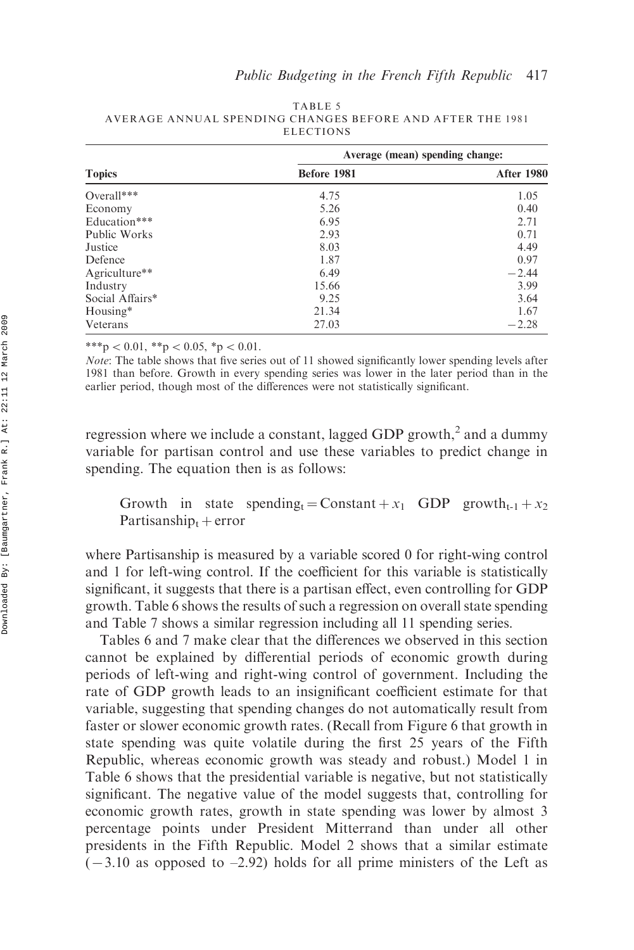|                 | Average (mean) spending change: |                   |  |  |  |
|-----------------|---------------------------------|-------------------|--|--|--|
| <b>Topics</b>   | Before 1981                     | <b>After 1980</b> |  |  |  |
| Overall***      | 4.75                            | 1.05              |  |  |  |
| Economy         | 5.26                            | 0.40              |  |  |  |
| Education***    | 6.95                            | 2.71              |  |  |  |
| Public Works    | 2.93                            | 0.71              |  |  |  |
| Justice         | 8.03                            | 4.49              |  |  |  |
| Defence         | 1.87                            | 0.97              |  |  |  |
| Agriculture**   | 6.49                            | $-2.44$           |  |  |  |
| Industry        | 15.66                           | 3.99              |  |  |  |
| Social Affairs* | 9.25                            | 3.64              |  |  |  |
| Housing*        | 21.34                           | 1.67              |  |  |  |
| Veterans        | 27.03                           | $-2.28$           |  |  |  |

TABLE 5 AVERAGE ANNUAL SPENDING CHANGES BEFORE AND AFTER THE 1981 ELECTIONS

\*\*\*p < 0.01, \*\*p < 0.05, \*p < 0.01.

Note: The table shows that five series out of 11 showed significantly lower spending levels after 1981 than before. Growth in every spending series was lower in the later period than in the earlier period, though most of the differences were not statistically significant.

regression where we include a constant, lagged GDP growth,<sup>2</sup> and a dummy variable for partisan control and use these variables to predict change in spending. The equation then is as follows:

Growth in state spending = Constant +  $x_1$  GDP growth $_{t-1}$  +  $x_2$ Partisanship $_t$  + error

where Partisanship is measured by a variable scored 0 for right-wing control and 1 for left-wing control. If the coefficient for this variable is statistically significant, it suggests that there is a partisan effect, even controlling for GDP growth. Table 6 shows the results of such a regression on overall state spending and Table 7 shows a similar regression including all 11 spending series.

Tables 6 and 7 make clear that the differences we observed in this section cannot be explained by differential periods of economic growth during periods of left-wing and right-wing control of government. Including the rate of GDP growth leads to an insignificant coefficient estimate for that variable, suggesting that spending changes do not automatically result from faster or slower economic growth rates. (Recall from Figure 6 that growth in state spending was quite volatile during the first 25 years of the Fifth Republic, whereas economic growth was steady and robust.) Model 1 in Table 6 shows that the presidential variable is negative, but not statistically significant. The negative value of the model suggests that, controlling for economic growth rates, growth in state spending was lower by almost 3 percentage points under President Mitterrand than under all other presidents in the Fifth Republic. Model 2 shows that a similar estimate  $(-3.10$  as opposed to  $-2.92$ ) holds for all prime ministers of the Left as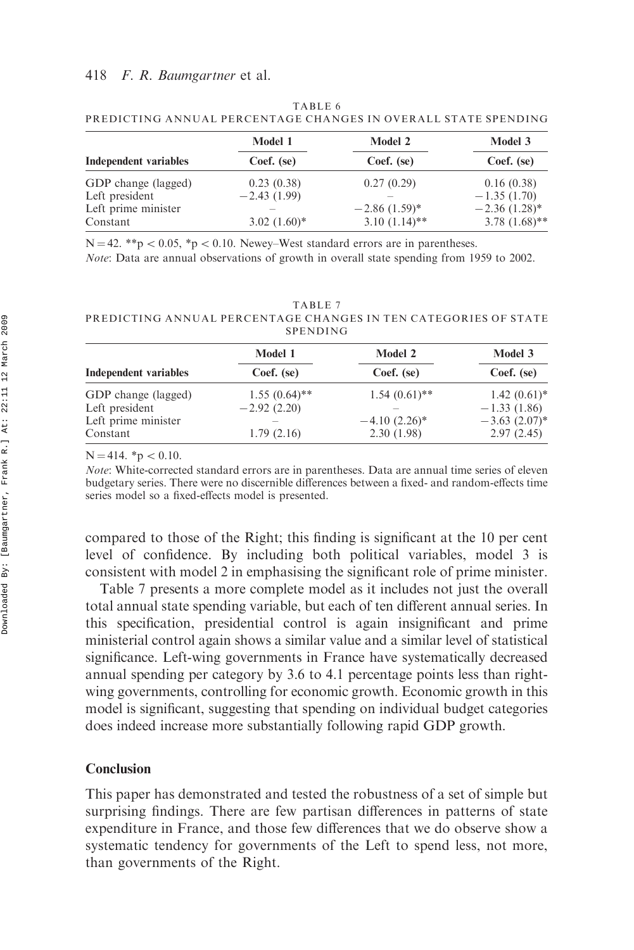|                              | Model 1        | <b>Model 2</b>  | Model 3         |  |
|------------------------------|----------------|-----------------|-----------------|--|
| <b>Independent variables</b> | Coef. (se)     | Coef. (se)      | Coef. (se)      |  |
| GDP change (lagged)          | 0.23(0.38)     | 0.27(0.29)      | 0.16(0.38)      |  |
| Left president               | $-2.43(1.99)$  |                 | $-1.35(1.70)$   |  |
| Left prime minister          | $3.02(1.60)^*$ | $-2.86(1.59)^*$ | $-2.36(1.28)^*$ |  |
| Constant                     |                | $3.10(1.14)$ ** | $3.78(1.68)$ ** |  |

TABLE 6 PREDICTING ANNUAL PERCENTAGE CHANGES IN OVERALL STATE SPENDING

 $N = 42.$  \*\*p < 0.05, \*p < 0.10. Newey–West standard errors are in parentheses.

Note: Data are annual observations of growth in overall state spending from 1959 to 2002.

TABLE 7 PREDICTING ANNUAL PERCENTAGE CHANGES IN TEN CATEGORIES OF STATE SPENDING

|                              | Model 1         | <b>Model 2</b>  | Model 3            |  |
|------------------------------|-----------------|-----------------|--------------------|--|
| <b>Independent variables</b> | Coef. (se)      | Coef. (se)      | Coef. (se)         |  |
| GDP change (lagged)          | $1.55(0.64)$ ** | $1.54(0.61)$ ** | $1.42(0.61)$ *     |  |
| Left president               | $-2.92(2.20)$   |                 | $-1.33(1.86)$      |  |
| Left prime minister          |                 | $-4.10(2.26)$ * | $-3.63$ $(2.07)^*$ |  |
| Constant                     | 1.79(2.16)      | 2.30(1.98)      | 2.97(2.45)         |  |

 $N = 414$ . \*p  $< 0.10$ .

Note: White-corrected standard errors are in parentheses. Data are annual time series of eleven budgetary series. There were no discernible differences between a fixed- and random-effects time series model so a fixed-effects model is presented.

compared to those of the Right; this finding is significant at the 10 per cent level of confidence. By including both political variables, model 3 is consistent with model 2 in emphasising the significant role of prime minister.

Table 7 presents a more complete model as it includes not just the overall total annual state spending variable, but each of ten different annual series. In this specification, presidential control is again insignificant and prime ministerial control again shows a similar value and a similar level of statistical significance. Left-wing governments in France have systematically decreased annual spending per category by 3.6 to 4.1 percentage points less than rightwing governments, controlling for economic growth. Economic growth in this model is significant, suggesting that spending on individual budget categories does indeed increase more substantially following rapid GDP growth.

## Conclusion

This paper has demonstrated and tested the robustness of a set of simple but surprising findings. There are few partisan differences in patterns of state expenditure in France, and those few differences that we do observe show a systematic tendency for governments of the Left to spend less, not more, than governments of the Right.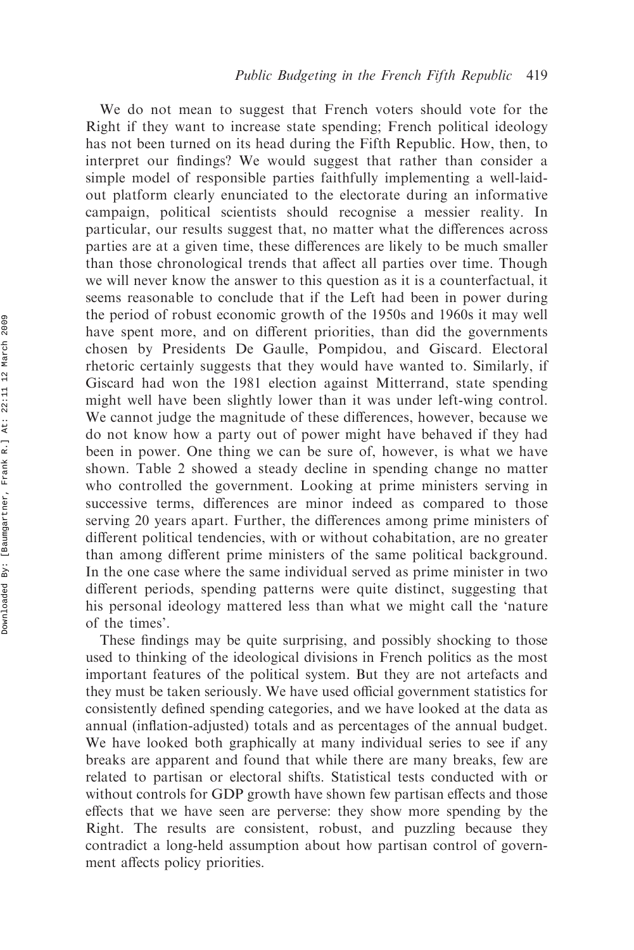We do not mean to suggest that French voters should vote for the Right if they want to increase state spending; French political ideology has not been turned on its head during the Fifth Republic. How, then, to interpret our findings? We would suggest that rather than consider a simple model of responsible parties faithfully implementing a well-laidout platform clearly enunciated to the electorate during an informative campaign, political scientists should recognise a messier reality. In particular, our results suggest that, no matter what the differences across parties are at a given time, these differences are likely to be much smaller than those chronological trends that affect all parties over time. Though we will never know the answer to this question as it is a counterfactual, it seems reasonable to conclude that if the Left had been in power during the period of robust economic growth of the 1950s and 1960s it may well have spent more, and on different priorities, than did the governments chosen by Presidents De Gaulle, Pompidou, and Giscard. Electoral rhetoric certainly suggests that they would have wanted to. Similarly, if Giscard had won the 1981 election against Mitterrand, state spending might well have been slightly lower than it was under left-wing control. We cannot judge the magnitude of these differences, however, because we do not know how a party out of power might have behaved if they had been in power. One thing we can be sure of, however, is what we have shown. Table 2 showed a steady decline in spending change no matter who controlled the government. Looking at prime ministers serving in successive terms, differences are minor indeed as compared to those serving 20 years apart. Further, the differences among prime ministers of different political tendencies, with or without cohabitation, are no greater than among different prime ministers of the same political background. In the one case where the same individual served as prime minister in two different periods, spending patterns were quite distinct, suggesting that his personal ideology mattered less than what we might call the 'nature of the times'.

These findings may be quite surprising, and possibly shocking to those used to thinking of the ideological divisions in French politics as the most important features of the political system. But they are not artefacts and they must be taken seriously. We have used official government statistics for consistently defined spending categories, and we have looked at the data as annual (inflation-adjusted) totals and as percentages of the annual budget. We have looked both graphically at many individual series to see if any breaks are apparent and found that while there are many breaks, few are related to partisan or electoral shifts. Statistical tests conducted with or without controls for GDP growth have shown few partisan effects and those effects that we have seen are perverse: they show more spending by the Right. The results are consistent, robust, and puzzling because they contradict a long-held assumption about how partisan control of government affects policy priorities.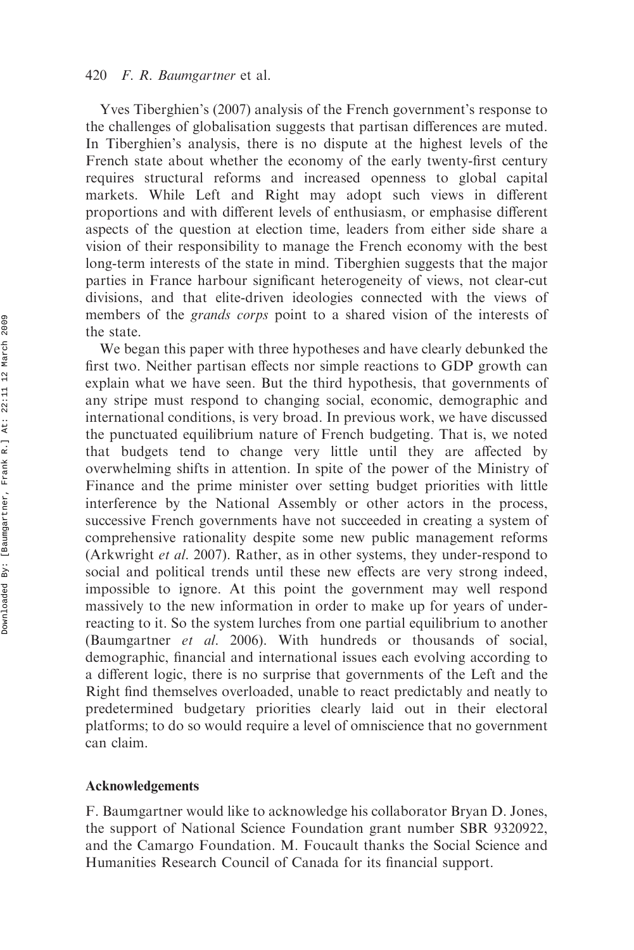Yves Tiberghien's (2007) analysis of the French government's response to the challenges of globalisation suggests that partisan differences are muted. In Tiberghien's analysis, there is no dispute at the highest levels of the French state about whether the economy of the early twenty-first century requires structural reforms and increased openness to global capital markets. While Left and Right may adopt such views in different proportions and with different levels of enthusiasm, or emphasise different aspects of the question at election time, leaders from either side share a vision of their responsibility to manage the French economy with the best long-term interests of the state in mind. Tiberghien suggests that the major parties in France harbour significant heterogeneity of views, not clear-cut divisions, and that elite-driven ideologies connected with the views of members of the *grands corps* point to a shared vision of the interests of the state.

We began this paper with three hypotheses and have clearly debunked the first two. Neither partisan effects nor simple reactions to GDP growth can explain what we have seen. But the third hypothesis, that governments of any stripe must respond to changing social, economic, demographic and international conditions, is very broad. In previous work, we have discussed the punctuated equilibrium nature of French budgeting. That is, we noted that budgets tend to change very little until they are affected by overwhelming shifts in attention. In spite of the power of the Ministry of Finance and the prime minister over setting budget priorities with little interference by the National Assembly or other actors in the process, successive French governments have not succeeded in creating a system of comprehensive rationality despite some new public management reforms (Arkwright et al. 2007). Rather, as in other systems, they under-respond to social and political trends until these new effects are very strong indeed, impossible to ignore. At this point the government may well respond massively to the new information in order to make up for years of underreacting to it. So the system lurches from one partial equilibrium to another (Baumgartner et al. 2006). With hundreds or thousands of social, demographic, financial and international issues each evolving according to a different logic, there is no surprise that governments of the Left and the Right find themselves overloaded, unable to react predictably and neatly to predetermined budgetary priorities clearly laid out in their electoral platforms; to do so would require a level of omniscience that no government can claim.

#### Acknowledgements

F. Baumgartner would like to acknowledge his collaborator Bryan D. Jones, the support of National Science Foundation grant number SBR 9320922, and the Camargo Foundation. M. Foucault thanks the Social Science and Humanities Research Council of Canada for its financial support.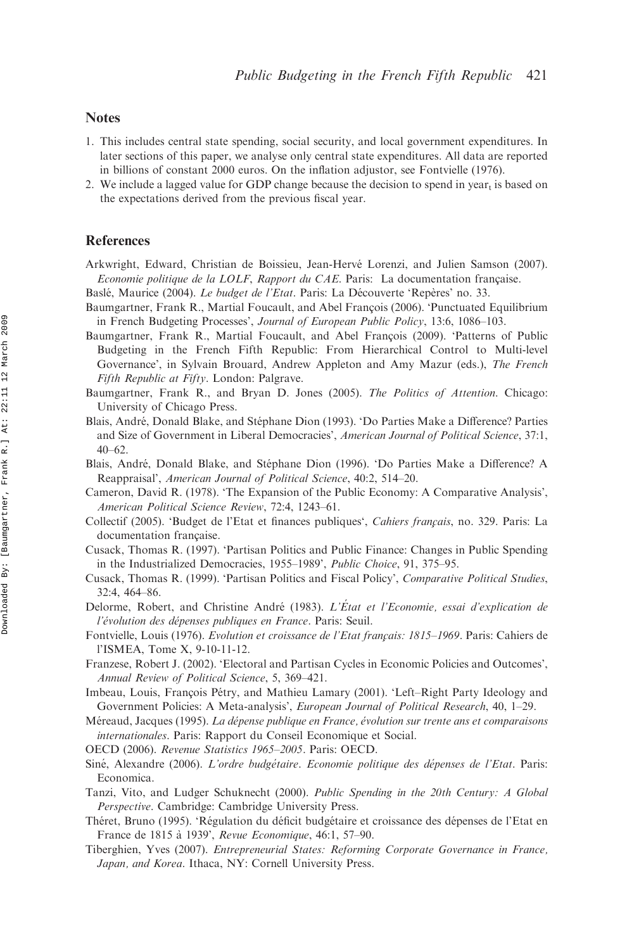#### **Notes**

- 1. This includes central state spending, social security, and local government expenditures. In later sections of this paper, we analyse only central state expenditures. All data are reported in billions of constant 2000 euros. On the inflation adjustor, see Fontvielle (1976).
- 2. We include a lagged value for GDP change because the decision to spend in year<sub>t</sub> is based on the expectations derived from the previous fiscal year.

#### References

- Arkwright, Edward, Christian de Boissieu, Jean-Herve´ Lorenzi, and Julien Samson (2007). Economie politique de la LOLF, Rapport du CAE. Paris: La documentation francaise.
- Baslé, Maurice (2004). Le budget de l'Etat. Paris: La Découverte 'Repères' no. 33.
- Baumgartner, Frank R., Martial Foucault, and Abel François (2006). 'Punctuated Equilibrium in French Budgeting Processes', Journal of European Public Policy, 13:6, 1086–103.
- Baumgartner, Frank R., Martial Foucault, and Abel Francois (2009). 'Patterns of Public Budgeting in the French Fifth Republic: From Hierarchical Control to Multi-level Governance', in Sylvain Brouard, Andrew Appleton and Amy Mazur (eds.), The French Fifth Republic at Fifty. London: Palgrave.
- Baumgartner, Frank R., and Bryan D. Jones (2005). The Politics of Attention. Chicago: University of Chicago Press.
- Blais, André, Donald Blake, and Stéphane Dion (1993). 'Do Parties Make a Difference? Parties and Size of Government in Liberal Democracies', American Journal of Political Science, 37:1,  $40-62.$
- Blais, André, Donald Blake, and Stéphane Dion (1996). 'Do Parties Make a Difference? A Reappraisal', American Journal of Political Science, 40:2, 514–20.
- Cameron, David R. (1978). 'The Expansion of the Public Economy: A Comparative Analysis', American Political Science Review, 72:4, 1243–61.
- Collectif (2005). 'Budget de l'Etat et finances publiques', Cahiers français, no. 329. Paris: La documentation française.
- Cusack, Thomas R. (1997). 'Partisan Politics and Public Finance: Changes in Public Spending in the Industrialized Democracies, 1955–1989', Public Choice, 91, 375–95.
- Cusack, Thomas R. (1999). 'Partisan Politics and Fiscal Policy', Comparative Political Studies, 32:4, 464–86.
- Delorme, Robert, and Christine André (1983). L'État et l'Economie, essai d'explication de l'évolution des dépenses publiques en France. Paris: Seuil.
- Fontvielle, Louis (1976). Evolution et croissance de l'Etat français: 1815–1969. Paris: Cahiers de l'ISMEA, Tome X, 9-10-11-12.
- Franzese, Robert J. (2002). 'Electoral and Partisan Cycles in Economic Policies and Outcomes', Annual Review of Political Science, 5, 369–421.
- Imbeau, Louis, François Pétry, and Mathieu Lamary (2001). 'Left–Right Party Ideology and Government Policies: A Meta-analysis', *European Journal of Political Research*, 40, 1-29.
- Méreaud, Jacques (1995). La dépense publique en France, évolution sur trente ans et comparaisons internationales. Paris: Rapport du Conseil Economique et Social.
- OECD (2006). Revenue Statistics 1965–2005. Paris: OECD.
- Siné, Alexandre (2006). L'ordre budgétaire. Economie politique des dépenses de l'Etat. Paris: Economica.
- Tanzi, Vito, and Ludger Schuknecht (2000). Public Spending in the 20th Century: A Global Perspective. Cambridge: Cambridge University Press.
- Théret, Bruno (1995). 'Régulation du déficit budgétaire et croissance des dépenses de l'Etat en France de 1815 a` 1939', Revue Economique, 46:1, 57–90.
- Tiberghien, Yves (2007). Entrepreneurial States: Reforming Corporate Governance in France, Japan, and Korea. Ithaca, NY: Cornell University Press.